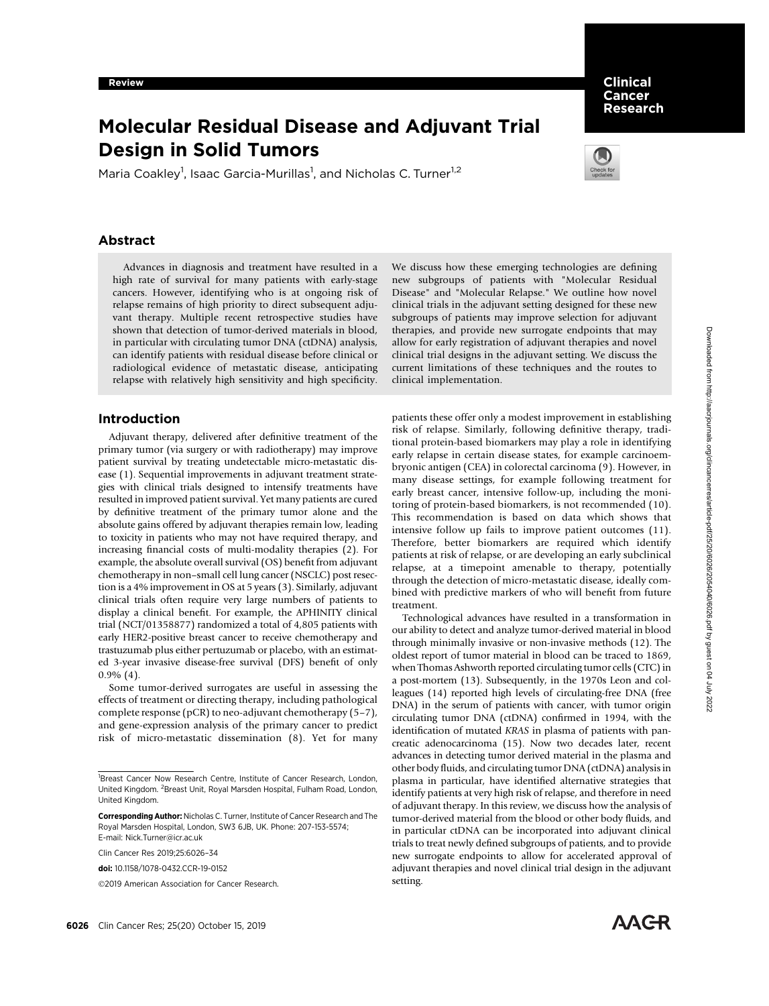# Molecular Residual Disease and Adjuvant Trial Design in Solid Tumors

Maria Coakley<sup>1</sup>, Isaac Garcia-Murillas<sup>1</sup>, and Nicholas C. Turner<sup>1,2</sup>



Clinical Cancer Research

# Abstract

Advances in diagnosis and treatment have resulted in a high rate of survival for many patients with early-stage cancers. However, identifying who is at ongoing risk of relapse remains of high priority to direct subsequent adjuvant therapy. Multiple recent retrospective studies have shown that detection of tumor-derived materials in blood, in particular with circulating tumor DNA (ctDNA) analysis, can identify patients with residual disease before clinical or radiological evidence of metastatic disease, anticipating relapse with relatively high sensitivity and high specificity.

# Introduction

Adjuvant therapy, delivered after definitive treatment of the primary tumor (via surgery or with radiotherapy) may improve patient survival by treating undetectable micro-metastatic disease (1). Sequential improvements in adjuvant treatment strategies with clinical trials designed to intensify treatments have resulted in improved patient survival. Yet many patients are cured by definitive treatment of the primary tumor alone and the absolute gains offered by adjuvant therapies remain low, leading to toxicity in patients who may not have required therapy, and increasing financial costs of multi-modality therapies (2). For example, the absolute overall survival (OS) benefit from adjuvant chemotherapy in non–small cell lung cancer (NSCLC) post resection is a 4% improvement in OS at 5 years (3). Similarly, adjuvant clinical trials often require very large numbers of patients to display a clinical benefit. For example, the APHINITY clinical trial (NCT/01358877) randomized a total of 4,805 patients with early HER2-positive breast cancer to receive chemotherapy and trastuzumab plus either pertuzumab or placebo, with an estimated 3-year invasive disease-free survival (DFS) benefit of only 0.9% (4).

Some tumor-derived surrogates are useful in assessing the effects of treatment or directing therapy, including pathological complete response (pCR) to neo-adjuvant chemotherapy (5–7), and gene-expression analysis of the primary cancer to predict risk of micro-metastatic dissemination (8). Yet for many

Clin Cancer Res 2019;25:6026–34

2019 American Association for Cancer Research.

We discuss how these emerging technologies are defining new subgroups of patients with "Molecular Residual Disease" and "Molecular Relapse." We outline how novel clinical trials in the adjuvant setting designed for these new subgroups of patients may improve selection for adjuvant therapies, and provide new surrogate endpoints that may allow for early registration of adjuvant therapies and novel clinical trial designs in the adjuvant setting. We discuss the current limitations of these techniques and the routes to clinical implementation.

patients these offer only a modest improvement in establishing risk of relapse. Similarly, following definitive therapy, traditional protein-based biomarkers may play a role in identifying early relapse in certain disease states, for example carcinoembryonic antigen (CEA) in colorectal carcinoma (9). However, in many disease settings, for example following treatment for early breast cancer, intensive follow-up, including the monitoring of protein-based biomarkers, is not recommended (10). This recommendation is based on data which shows that intensive follow up fails to improve patient outcomes (11). Therefore, better biomarkers are required which identify patients at risk of relapse, or are developing an early subclinical relapse, at a timepoint amenable to therapy, potentially through the detection of micro-metastatic disease, ideally combined with predictive markers of who will benefit from future treatment.

Technological advances have resulted in a transformation in our ability to detect and analyze tumor-derived material in blood through minimally invasive or non-invasive methods (12). The oldest report of tumor material in blood can be traced to 1869, when Thomas Ashworth reported circulating tumor cells (CTC) in a post-mortem (13). Subsequently, in the 1970s Leon and colleagues (14) reported high levels of circulating-free DNA (free DNA) in the serum of patients with cancer, with tumor origin circulating tumor DNA (ctDNA) confirmed in 1994, with the identification of mutated KRAS in plasma of patients with pancreatic adenocarcinoma (15). Now two decades later, recent advances in detecting tumor derived material in the plasma and other body fluids, and circulating tumor DNA (ctDNA) analysis in plasma in particular, have identified alternative strategies that identify patients at very high risk of relapse, and therefore in need of adjuvant therapy. In this review, we discuss how the analysis of tumor-derived material from the blood or other body fluids, and in particular ctDNA can be incorporated into adjuvant clinical trials to treat newly defined subgroups of patients, and to provide new surrogate endpoints to allow for accelerated approval of adjuvant therapies and novel clinical trial design in the adjuvant setting.

<sup>&</sup>lt;sup>1</sup>Breast Cancer Now Research Centre, Institute of Cancer Research, London, United Kingdom. <sup>2</sup>Breast Unit, Royal Marsden Hospital, Fulham Road, London, United Kingdom.

Corresponding Author: Nicholas C. Turner, Institute of Cancer Research and The Royal Marsden Hospital, London, SW3 6JB, UK. Phone: 207-153-5574; E-mail: Nick.Turner@icr.ac.uk

doi: 10.1158/1078-0432.CCR-19-0152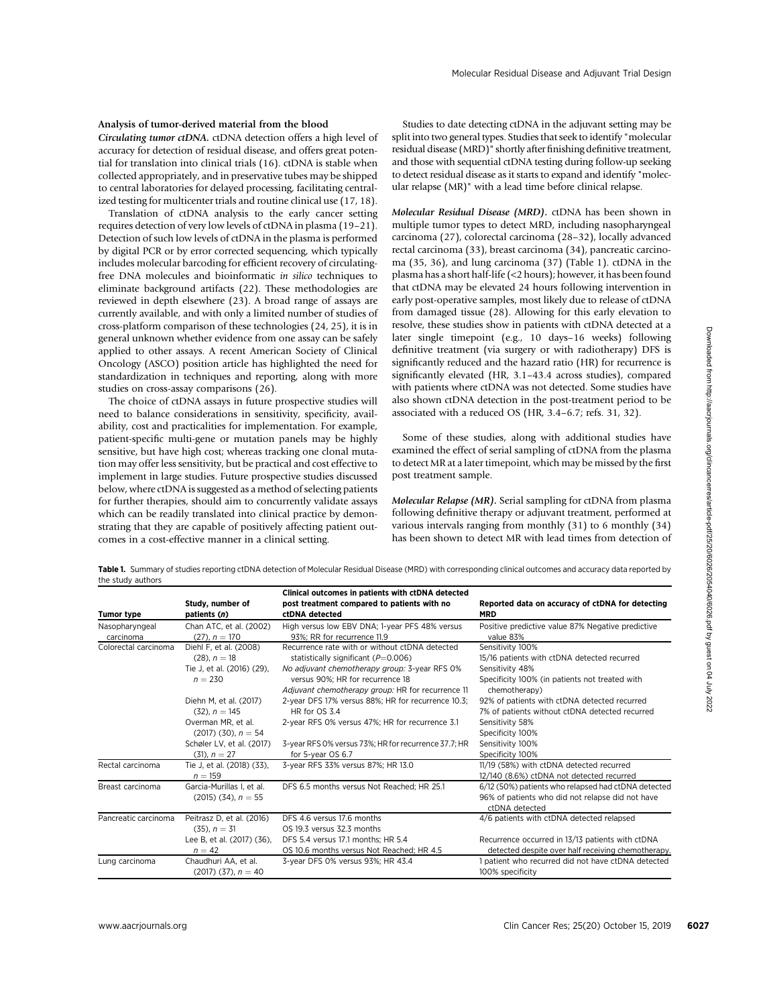#### Analysis of tumor-derived material from the blood

Circulating tumor ctDNA. ctDNA detection offers a high level of accuracy for detection of residual disease, and offers great potential for translation into clinical trials (16). ctDNA is stable when collected appropriately, and in preservative tubes may be shipped to central laboratories for delayed processing, facilitating centralized testing for multicenter trials and routine clinical use (17, 18).

Translation of ctDNA analysis to the early cancer setting requires detection of very low levels of ctDNA in plasma (19–21). Detection of such low levels of ctDNA in the plasma is performed by digital PCR or by error corrected sequencing, which typically includes molecular barcoding for efficient recovery of circulatingfree DNA molecules and bioinformatic in silico techniques to eliminate background artifacts (22). These methodologies are reviewed in depth elsewhere (23). A broad range of assays are currently available, and with only a limited number of studies of cross-platform comparison of these technologies (24, 25), it is in general unknown whether evidence from one assay can be safely applied to other assays. A recent American Society of Clinical Oncology (ASCO) position article has highlighted the need for standardization in techniques and reporting, along with more studies on cross-assay comparisons (26).

Studies to date detecting ctDNA in the adjuvant setting may be split into two general types. Studies that seek to identify "molecular residual disease (MRD)" shortly after finishing definitive treatment, and those with sequential ctDNA testing during follow-up seeking to detect residual disease as it starts to expand and identify "molecular relapse (MR)" with a lead time before clinical relapse.

Molecular Residual Disease (MRD). ctDNA has been shown in multiple tumor types to detect MRD, including nasopharyngeal carcinoma (27), colorectal carcinoma (28–32), locally advanced rectal carcinoma (33), breast carcinoma (34), pancreatic carcinoma (35, 36), and lung carcinoma (37) (Table 1). ctDNA in the plasma has a short half-life (<2 hours); however, it has been found that ctDNA may be elevated 24 hours following intervention in early post-operative samples, most likely due to release of ctDNA from damaged tissue (28). Allowing for this early elevation to resolve, these studies show in patients with ctDNA detected at a later single timepoint (e.g., 10 days–16 weeks) following definitive treatment (via surgery or with radiotherapy) DFS is significantly reduced and the hazard ratio (HR) for recurrence is significantly elevated (HR, 3.1–43.4 across studies), compared with patients where ctDNA was not detected. Some studies have also shown ctDNA detection in the post-treatment period to be associated with a reduced OS (HR, 3.4–6.7; refs. 31, 32).

|                                          | studies on cross-assay comparisons (26).                                                                                                                                                                                                  | general unknown whether evidence from one assay can be safely<br>applied to other assays. A recent American Society of Clinical<br>Oncology (ASCO) position article has highlighted the need for<br>standardization in techniques and reporting, along with more<br>The choice of ctDNA assays in future prospective studies will<br>need to balance considerations in sensitivity, specificity, avail-<br>ability, cost and practicalities for implementation. For example,<br>patient-specific multi-gene or mutation panels may be highly<br>sensitive, but have high cost; whereas tracking one clonal muta-<br>tion may offer less sensitivity, but be practical and cost effective to<br>post treatment sample.<br>implement in large studies. Future prospective studies discussed<br>below, where ctDNA is suggested as a method of selecting patients<br>for further therapies, should aim to concurrently validate assays | later single timepoint (e.g., 10 days-16 weeks) following<br>definitive treatment (via surgery or with radiotherapy) DFS is<br>significantly reduced and the hazard ratio (HR) for recurrence is<br>significantly elevated (HR, 3.1–43.4 across studies), compared<br>with patients where ctDNA was not detected. Some studies have<br>also shown ctDNA detection in the post-treatment period to be<br>associated with a reduced OS (HR, $3.4-6.7$ ; refs. 31, 32).<br>Some of these studies, along with additional studies have<br>examined the effect of serial sampling of ctDNA from the plasma<br>to detect MR at a later timepoint, which may be missed by the first<br><i>Molecular Relapse (MR).</i> Serial sampling for ctDNA from plasma |  |
|------------------------------------------|-------------------------------------------------------------------------------------------------------------------------------------------------------------------------------------------------------------------------------------------|-------------------------------------------------------------------------------------------------------------------------------------------------------------------------------------------------------------------------------------------------------------------------------------------------------------------------------------------------------------------------------------------------------------------------------------------------------------------------------------------------------------------------------------------------------------------------------------------------------------------------------------------------------------------------------------------------------------------------------------------------------------------------------------------------------------------------------------------------------------------------------------------------------------------------------------|-----------------------------------------------------------------------------------------------------------------------------------------------------------------------------------------------------------------------------------------------------------------------------------------------------------------------------------------------------------------------------------------------------------------------------------------------------------------------------------------------------------------------------------------------------------------------------------------------------------------------------------------------------------------------------------------------------------------------------------------------------|--|
|                                          |                                                                                                                                                                                                                                           | which can be readily translated into clinical practice by demon-                                                                                                                                                                                                                                                                                                                                                                                                                                                                                                                                                                                                                                                                                                                                                                                                                                                                    | following definitive therapy or adjuvant treatment, performed at<br>various intervals ranging from monthly (31) to 6 monthly (34)<br>has been shown to detect MR with lead times from detection of                                                                                                                                                                                                                                                                                                                                                                                                                                                                                                                                                  |  |
|                                          | comes in a cost-effective manner in a clinical setting.                                                                                                                                                                                   | strating that they are capable of positively affecting patient out-                                                                                                                                                                                                                                                                                                                                                                                                                                                                                                                                                                                                                                                                                                                                                                                                                                                                 |                                                                                                                                                                                                                                                                                                                                                                                                                                                                                                                                                                                                                                                                                                                                                     |  |
| the study authors                        | Study, number of                                                                                                                                                                                                                          | Clinical outcomes in patients with ctDNA detected<br>post treatment compared to patients with no                                                                                                                                                                                                                                                                                                                                                                                                                                                                                                                                                                                                                                                                                                                                                                                                                                    | Table 1. Summary of studies reporting ctDNA detection of Molecular Residual Disease (MRD) with corresponding clinical outcomes and accuracy data reported by<br>Reported data on accuracy of ctDNA for detecting                                                                                                                                                                                                                                                                                                                                                                                                                                                                                                                                    |  |
|                                          |                                                                                                                                                                                                                                           |                                                                                                                                                                                                                                                                                                                                                                                                                                                                                                                                                                                                                                                                                                                                                                                                                                                                                                                                     |                                                                                                                                                                                                                                                                                                                                                                                                                                                                                                                                                                                                                                                                                                                                                     |  |
| Tumor type<br>Nasopharyngeal             | patients (n)<br>Chan ATC, et al. (2002)                                                                                                                                                                                                   | ctDNA detected<br>High versus low EBV DNA; 1-year PFS 48% versus                                                                                                                                                                                                                                                                                                                                                                                                                                                                                                                                                                                                                                                                                                                                                                                                                                                                    | <b>MRD</b><br>Positive predictive value 87% Negative predictive                                                                                                                                                                                                                                                                                                                                                                                                                                                                                                                                                                                                                                                                                     |  |
| carcinoma                                | $(27)$ , $n = 170$                                                                                                                                                                                                                        | 93%; RR for recurrence 11.9                                                                                                                                                                                                                                                                                                                                                                                                                                                                                                                                                                                                                                                                                                                                                                                                                                                                                                         | value 83%                                                                                                                                                                                                                                                                                                                                                                                                                                                                                                                                                                                                                                                                                                                                           |  |
|                                          | Diehl F, et al. (2008)<br>$(28)$ , $n = 18$<br>Tie J, et al. (2016) (29),<br>$n = 230$<br>Diehn M, et al. (2017)<br>$(32)$ , $n = 145$<br>Overman MR, et al.<br>$(2017)$ $(30)$ , $n = 54$<br>Schøler LV, et al. (2017)<br>$(31), n = 27$ | Recurrence rate with or without ctDNA detected<br>statistically significant ( $P=0.006$ )<br>No adjuvant chemotherapy group: 3-year RFS 0%<br>versus 90%; HR for recurrence 18<br>Adjuvant chemotherapy group: HR for recurrence 11<br>2-year DFS 17% versus 88%; HR for recurrence 10.3;<br>HR for OS 3.4<br>2-year RFS 0% versus 47%; HR for recurrence 3.1<br>3-year RFS 0% versus 73%; HR for recurrence 37.7; HR<br>for 5-year OS 6.7                                                                                                                                                                                                                                                                                                                                                                                                                                                                                          | Sensitivity 100%<br>15/16 patients with ctDNA detected recurred<br>Sensitivity 48%<br>Specificity 100% (in patients not treated with<br>chemotherapy)<br>92% of patients with ctDNA detected recurred<br>7% of patients without ctDNA detected recurred<br>Sensitivity 58%<br>Specificity 100%<br>Sensitivity 100%<br>Specificity 100%                                                                                                                                                                                                                                                                                                                                                                                                              |  |
| Colorectal carcinoma<br>Rectal carcinoma | Tie J, et al. (2018) (33),                                                                                                                                                                                                                | 3-year RFS 33% versus 87%; HR 13.0                                                                                                                                                                                                                                                                                                                                                                                                                                                                                                                                                                                                                                                                                                                                                                                                                                                                                                  | 11/19 (58%) with ctDNA detected recurred                                                                                                                                                                                                                                                                                                                                                                                                                                                                                                                                                                                                                                                                                                            |  |
| Breast carcinoma                         | $n = 159$<br>Garcia-Murillas I, et al.<br>$(2015)$ $(34)$ , $n = 55$                                                                                                                                                                      | DFS 6.5 months versus Not Reached; HR 25.1                                                                                                                                                                                                                                                                                                                                                                                                                                                                                                                                                                                                                                                                                                                                                                                                                                                                                          | 12/140 (8.6%) ctDNA not detected recurred<br>6/12 (50%) patients who relapsed had ctDNA detected<br>96% of patients who did not relapse did not have<br>ctDNA detected                                                                                                                                                                                                                                                                                                                                                                                                                                                                                                                                                                              |  |
|                                          | Peitrasz D, et al. (2016)                                                                                                                                                                                                                 | DFS 4.6 versus 17.6 months                                                                                                                                                                                                                                                                                                                                                                                                                                                                                                                                                                                                                                                                                                                                                                                                                                                                                                          | 4/6 patients with ctDNA detected relapsed                                                                                                                                                                                                                                                                                                                                                                                                                                                                                                                                                                                                                                                                                                           |  |
| Pancreatic carcinoma                     | $(35)$ , $n = 31$<br>Lee B, et al. (2017) (36),<br>$n = 42$                                                                                                                                                                               | OS 19.3 versus 32.3 months<br>DFS 5.4 versus 17.1 months; HR 5.4<br>OS 10.6 months versus Not Reached; HR 4.5                                                                                                                                                                                                                                                                                                                                                                                                                                                                                                                                                                                                                                                                                                                                                                                                                       | Recurrence occurred in 13/13 patients with ctDNA<br>detected despite over half receiving chemotherapy.                                                                                                                                                                                                                                                                                                                                                                                                                                                                                                                                                                                                                                              |  |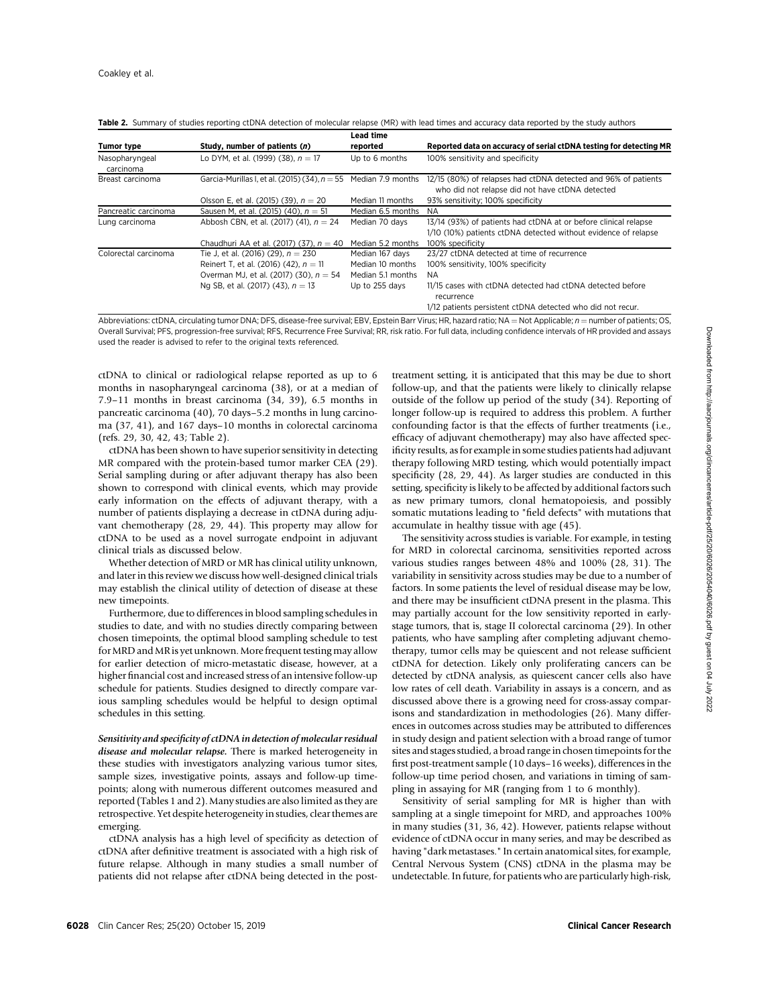|                             |                                                                   | Lead time         |                                                                                                                   |
|-----------------------------|-------------------------------------------------------------------|-------------------|-------------------------------------------------------------------------------------------------------------------|
| Tumor type                  | Study, number of patients (n)                                     | reported          | Reported data on accuracy of serial ctDNA testing for detecting MR                                                |
| Nasopharyngeal<br>carcinoma | Lo DYM, et al. (1999) (38), $n = 17$                              | Up to 6 months    | 100% sensitivity and specificity                                                                                  |
| Breast carcinoma            | Garcia-Murillas I, et al. (2015) (34), $n = 55$ Median 7.9 months |                   | 12/15 (80%) of relapses had ctDNA detected and 96% of patients<br>who did not relapse did not have ctDNA detected |
|                             | Olsson E, et al. (2015) (39), $n = 20$                            | Median 11 months  | 93% sensitivity: 100% specificity                                                                                 |
| Pancreatic carcinoma        | Sausen M, et al. (2015) (40), $n = 51$                            | Median 6.5 months | <b>NA</b>                                                                                                         |
| Lung carcinoma              | Abbosh CBN, et al. (2017) (41), $n = 24$                          | Median 70 days    | 13/14 (93%) of patients had ctDNA at or before clinical relapse                                                   |
|                             |                                                                   |                   | 1/10 (10%) patients ctDNA detected without evidence of relapse                                                    |
|                             | Chaudhuri AA et al. (2017) (37), $n = 40$                         | Median 5.2 months | 100% specificity                                                                                                  |
| Colorectal carcinoma        | Tie J, et al. (2016) (29), $n = 230$                              | Median 167 days   | 23/27 ctDNA detected at time of recurrence                                                                        |
|                             | Reinert T, et al. (2016) (42), $n = 11$                           | Median 10 months  | 100% sensitivity, 100% specificity                                                                                |
|                             | Overman MJ, et al. (2017) (30), $n = 54$                          | Median 5.1 months | <b>NA</b>                                                                                                         |
|                             | Ng SB, et al. (2017) (43), $n = 13$                               | Up to 255 days    | 11/15 cases with ctDNA detected had ctDNA detected before<br>recurrence                                           |
|                             |                                                                   |                   | 1/12 patients persistent ctDNA detected who did not recur.                                                        |

Table 2. Summary of studies reporting ctDNA detection of molecular relapse (MR) with lead times and accuracy data reported by the study authors

Abbreviations: ctDNA, circulating tumor DNA; DFS, disease-free survival; EBV, Epstein Barr Virus; HR, hazard ratio; NA = Not Applicable; n = number of patients; OS, Overall Survival; PFS, progression-free survival; RFS, Recurrence Free Survival; RR, risk ratio. For full data, including confidence intervals of HR provided and assays used the reader is advised to refer to the original texts referenced.

ctDNA to clinical or radiological relapse reported as up to 6 months in nasopharyngeal carcinoma (38), or at a median of 7.9–11 months in breast carcinoma (34, 39), 6.5 months in pancreatic carcinoma (40), 70 days–5.2 months in lung carcinoma (37, 41), and 167 days–10 months in colorectal carcinoma (refs. 29, 30, 42, 43; Table 2).

ctDNA has been shown to have superior sensitivity in detecting MR compared with the protein-based tumor marker CEA (29). Serial sampling during or after adjuvant therapy has also been shown to correspond with clinical events, which may provide early information on the effects of adjuvant therapy, with a number of patients displaying a decrease in ctDNA during adjuvant chemotherapy (28, 29, 44). This property may allow for ctDNA to be used as a novel surrogate endpoint in adjuvant clinical trials as discussed below.

Whether detection of MRD or MR has clinical utility unknown, and later in this review we discuss how well-designed clinical trials may establish the clinical utility of detection of disease at these new timepoints.

Furthermore, due to differences in blood sampling schedules in studies to date, and with no studies directly comparing between chosen timepoints, the optimal blood sampling schedule to test for MRD and MR is yet unknown. More frequent testing may allow for earlier detection of micro-metastatic disease, however, at a higher financial cost and increased stress of an intensive follow-up schedule for patients. Studies designed to directly compare various sampling schedules would be helpful to design optimal schedules in this setting.

Sensitivity and specificity of ctDNA in detection of molecular residual disease and molecular relapse. There is marked heterogeneity in these studies with investigators analyzing various tumor sites, sample sizes, investigative points, assays and follow-up timepoints; along with numerous different outcomes measured and reported (Tables 1 and 2). Many studies are also limited as they are retrospective. Yet despite heterogeneity in studies, clear themes are emerging.

ctDNA analysis has a high level of specificity as detection of ctDNA after definitive treatment is associated with a high risk of future relapse. Although in many studies a small number of patients did not relapse after ctDNA being detected in the posttreatment setting, it is anticipated that this may be due to short follow-up, and that the patients were likely to clinically relapse outside of the follow up period of the study (34). Reporting of longer follow-up is required to address this problem. A further confounding factor is that the effects of further treatments (i.e., efficacy of adjuvant chemotherapy) may also have affected specificity results, as for example in some studies patients had adjuvant therapy following MRD testing, which would potentially impact specificity (28, 29, 44). As larger studies are conducted in this setting, specificity is likely to be affected by additional factors such as new primary tumors, clonal hematopoiesis, and possibly somatic mutations leading to "field defects" with mutations that accumulate in healthy tissue with age (45).

The sensitivity across studies is variable. For example, in testing for MRD in colorectal carcinoma, sensitivities reported across various studies ranges between 48% and 100% (28, 31). The variability in sensitivity across studies may be due to a number of factors. In some patients the level of residual disease may be low, and there may be insufficient ctDNA present in the plasma. This may partially account for the low sensitivity reported in earlystage tumors, that is, stage II colorectal carcinoma (29). In other patients, who have sampling after completing adjuvant chemotherapy, tumor cells may be quiescent and not release sufficient ctDNA for detection. Likely only proliferating cancers can be detected by ctDNA analysis, as quiescent cancer cells also have low rates of cell death. Variability in assays is a concern, and as discussed above there is a growing need for cross-assay comparisons and standardization in methodologies (26). Many differences in outcomes across studies may be attributed to differences in study design and patient selection with a broad range of tumor sites and stages studied, a broad range in chosen timepoints for the first post-treatment sample (10 days–16 weeks), differences in the follow-up time period chosen, and variations in timing of sampling in assaying for MR (ranging from 1 to 6 monthly).

Sensitivity of serial sampling for MR is higher than with sampling at a single timepoint for MRD, and approaches 100% in many studies (31, 36, 42). However, patients relapse without evidence of ctDNA occur in many series, and may be described as having "dark metastases." In certain anatomical sites, for example, Central Nervous System (CNS) ctDNA in the plasma may be undetectable. In future, for patients who are particularly high-risk,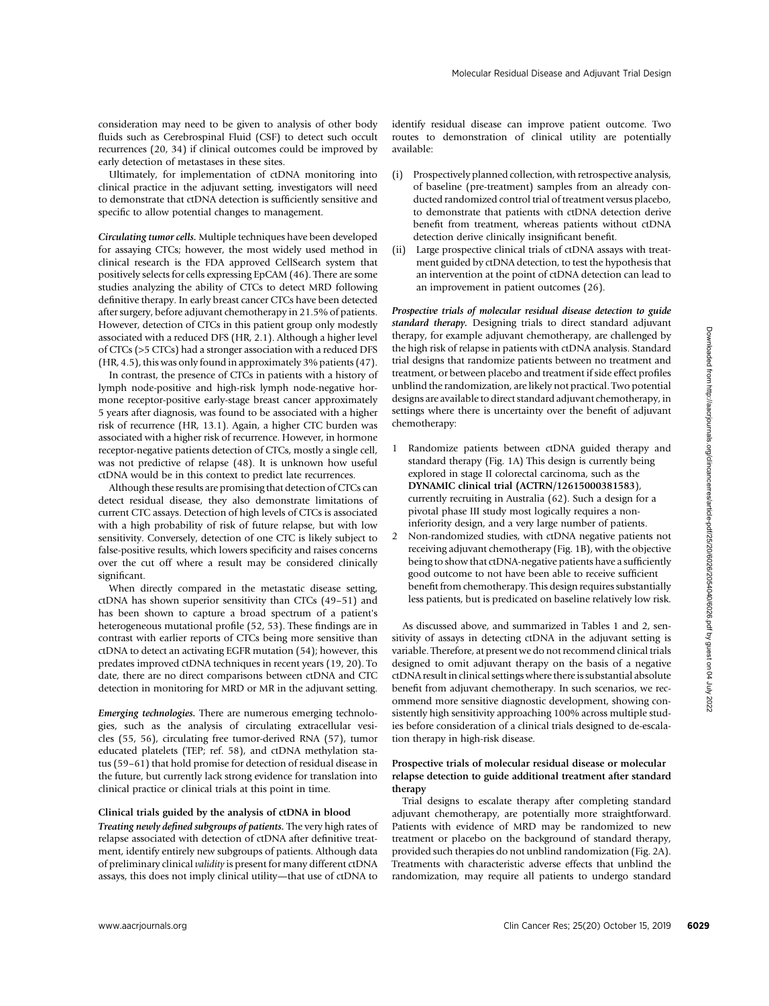consideration may need to be given to analysis of other body fluids such as Cerebrospinal Fluid (CSF) to detect such occult recurrences (20, 34) if clinical outcomes could be improved by early detection of metastases in these sites.

Ultimately, for implementation of ctDNA monitoring into clinical practice in the adjuvant setting, investigators will need to demonstrate that ctDNA detection is sufficiently sensitive and specific to allow potential changes to management.

Circulating tumor cells. Multiple techniques have been developed for assaying CTCs; however, the most widely used method in clinical research is the FDA approved CellSearch system that positively selects for cells expressing EpCAM (46). There are some studies analyzing the ability of CTCs to detect MRD following definitive therapy. In early breast cancer CTCs have been detected after surgery, before adjuvant chemotherapy in 21.5% of patients. However, detection of CTCs in this patient group only modestly associated with a reduced DFS (HR, 2.1). Although a higher level of CTCs (>5 CTCs) had a stronger association with a reduced DFS (HR, 4.5), this was only found in approximately 3% patients (47).

In contrast, the presence of CTCs in patients with a history of lymph node-positive and high-risk lymph node-negative hormone receptor-positive early-stage breast cancer approximately 5 years after diagnosis, was found to be associated with a higher risk of recurrence (HR, 13.1). Again, a higher CTC burden was associated with a higher risk of recurrence. However, in hormone receptor-negative patients detection of CTCs, mostly a single cell, was not predictive of relapse (48). It is unknown how useful ctDNA would be in this context to predict late recurrences.

Although these results are promising that detection of CTCs can detect residual disease, they also demonstrate limitations of current CTC assays. Detection of high levels of CTCs is associated with a high probability of risk of future relapse, but with low sensitivity. Conversely, detection of one CTC is likely subject to false-positive results, which lowers specificity and raises concerns over the cut off where a result may be considered clinically significant.

When directly compared in the metastatic disease setting, ctDNA has shown superior sensitivity than CTCs (49–51) and has been shown to capture a broad spectrum of a patient's heterogeneous mutational profile (52, 53). These findings are in contrast with earlier reports of CTCs being more sensitive than ctDNA to detect an activating EGFR mutation (54); however, this predates improved ctDNA techniques in recent years (19, 20). To date, there are no direct comparisons between ctDNA and CTC detection in monitoring for MRD or MR in the adjuvant setting.

Emerging technologies. There are numerous emerging technologies, such as the analysis of circulating extracellular vesicles (55, 56), circulating free tumor-derived RNA (57), tumor educated platelets (TEP; ref. 58), and ctDNA methylation status (59–61) that hold promise for detection of residual disease in the future, but currently lack strong evidence for translation into clinical practice or clinical trials at this point in time.

#### Clinical trials guided by the analysis of ctDNA in blood

Treating newly defined subgroups of patients. The very high rates of relapse associated with detection of ctDNA after definitive treatment, identify entirely new subgroups of patients. Although data of preliminary clinical validity is present for many different ctDNA assays, this does not imply clinical utility—that use of ctDNA to identify residual disease can improve patient outcome. Two routes to demonstration of clinical utility are potentially available:

- (i) Prospectively planned collection, with retrospective analysis, of baseline (pre-treatment) samples from an already conducted randomized control trial of treatment versus placebo, to demonstrate that patients with ctDNA detection derive benefit from treatment, whereas patients without ctDNA detection derive clinically insignificant benefit.
- (ii) Large prospective clinical trials of ctDNA assays with treatment guided by ctDNA detection, to test the hypothesis that an intervention at the point of ctDNA detection can lead to an improvement in patient outcomes (26).

Prospective trials of molecular residual disease detection to guide standard therapy. Designing trials to direct standard adjuvant therapy, for example adjuvant chemotherapy, are challenged by the high risk of relapse in patients with ctDNA analysis. Standard trial designs that randomize patients between no treatment and treatment, or between placebo and treatment if side effect profiles unblind the randomization, are likely not practical. Two potential designs are available to direct standard adjuvant chemotherapy, in settings where there is uncertainty over the benefit of adjuvant chemotherapy:

- 1 Randomize patients between ctDNA guided therapy and standard therapy (Fig. 1A) This design is currently being explored in stage II colorectal carcinoma, such as the DYNAMIC clinical trial (ACTRN/12615000381583), currently recruiting in Australia (62). Such a design for a pivotal phase III study most logically requires a noninferiority design, and a very large number of patients.
- 2 Non-randomized studies, with ctDNA negative patients not receiving adjuvant chemotherapy (Fig. 1B), with the objective being to show that ctDNA-negative patients have a sufficiently good outcome to not have been able to receive sufficient benefit from chemotherapy. This design requires substantially less patients, but is predicated on baseline relatively low risk.

As discussed above, and summarized in Tables 1 and 2, sensitivity of assays in detecting ctDNA in the adjuvant setting is variable. Therefore, at present we do not recommend clinical trials designed to omit adjuvant therapy on the basis of a negative ctDNA result in clinical settings where there is substantial absolute benefit from adjuvant chemotherapy. In such scenarios, we recommend more sensitive diagnostic development, showing consistently high sensitivity approaching 100% across multiple studies before consideration of a clinical trials designed to de-escalation therapy in high-risk disease. associated with a solid consider the station of the station of the station of the stational associates of the stational associates of the stational associates of the stational associates of the stational associates of the

## Prospective trials of molecular residual disease or molecular relapse detection to guide additional treatment after standard therapy

Trial designs to escalate therapy after completing standard adjuvant chemotherapy, are potentially more straightforward. Patients with evidence of MRD may be randomized to new treatment or placebo on the background of standard therapy, provided such therapies do not unblind randomization (Fig. 2A). Treatments with characteristic adverse effects that unblind the randomization, may require all patients to undergo standard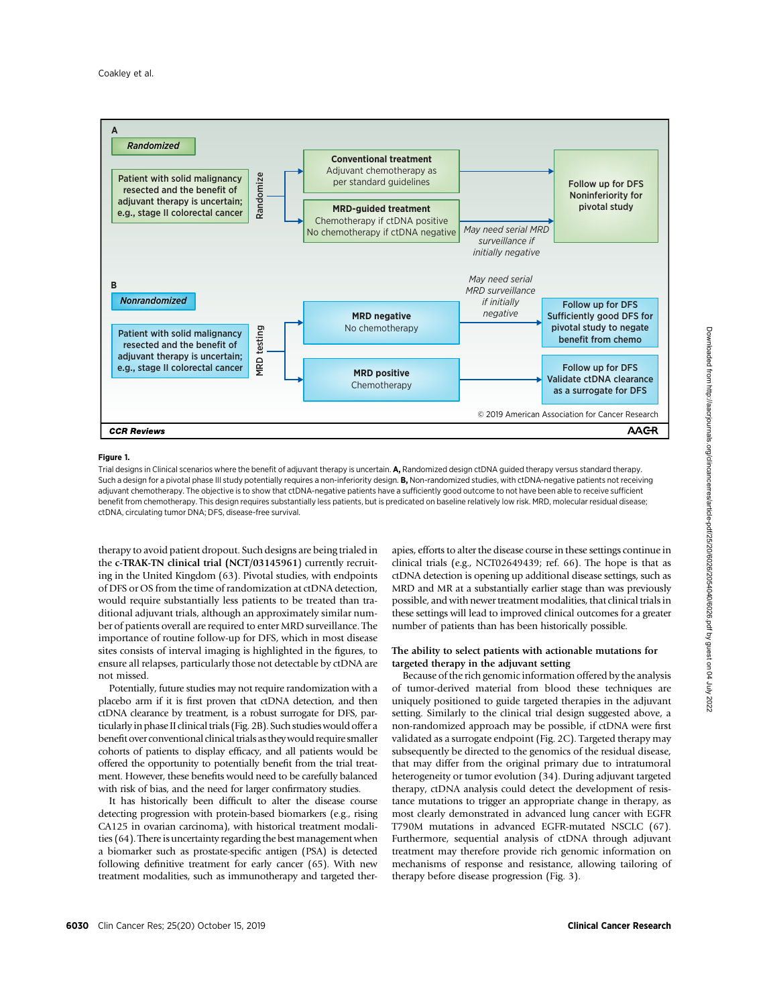

#### Figure 1.

Trial designs in Clinical scenarios where the benefit of adjuvant therapy is uncertain. A, Randomized design ctDNA guided therapy versus standard therapy. Such a design for a pivotal phase III study potentially requires a non-inferiority design. B. Non-randomized studies, with ctDNA-negative patients not receiving adjuvant chemotherapy. The objective is to show that ctDNA-negative patients have a sufficiently good outcome to not have been able to receive sufficient benefit from chemotherapy. This design requires substantially less patients, but is predicated on baseline relatively low risk. MRD, molecular residual disease; ctDNA, circulating tumor DNA; DFS, disease-free survival.

therapy to avoid patient dropout. Such designs are being trialed in the c-TRAK-TN clinical trial (NCT/03145961) currently recruiting in the United Kingdom (63). Pivotal studies, with endpoints of DFS or OS from the time of randomization at ctDNA detection, would require substantially less patients to be treated than traditional adjuvant trials, although an approximately similar number of patients overall are required to enter MRD surveillance. The importance of routine follow-up for DFS, which in most disease sites consists of interval imaging is highlighted in the figures, to ensure all relapses, particularly those not detectable by ctDNA are not missed.

Potentially, future studies may not require randomization with a placebo arm if it is first proven that ctDNA detection, and then ctDNA clearance by treatment, is a robust surrogate for DFS, particularly in phase II clinical trials (Fig. 2B). Such studies would offer a benefit over conventional clinical trials as they would require smaller cohorts of patients to display efficacy, and all patients would be offered the opportunity to potentially benefit from the trial treatment. However, these benefits would need to be carefully balanced with risk of bias, and the need for larger confirmatory studies.

It has historically been difficult to alter the disease course detecting progression with protein-based biomarkers (e.g., rising CA125 in ovarian carcinoma), with historical treatment modalities (64). There is uncertainty regarding the best management when a biomarker such as prostate-specific antigen (PSA) is detected following definitive treatment for early cancer (65). With new treatment modalities, such as immunotherapy and targeted therapies, efforts to alter the disease course in these settings continue in clinical trials (e.g., NCT02649439; ref. 66). The hope is that as ctDNA detection is opening up additional disease settings, such as MRD and MR at a substantially earlier stage than was previously possible, and with newer treatment modalities, that clinical trials in these settings will lead to improved clinical outcomes for a greater number of patients than has been historically possible.

## The ability to select patients with actionable mutations for targeted therapy in the adjuvant setting

Because of the rich genomic information offered by the analysis of tumor-derived material from blood these techniques are uniquely positioned to guide targeted therapies in the adjuvant setting. Similarly to the clinical trial design suggested above, a non-randomized approach may be possible, if ctDNA were first validated as a surrogate endpoint (Fig. 2C). Targeted therapy may subsequently be directed to the genomics of the residual disease, that may differ from the original primary due to intratumoral heterogeneity or tumor evolution (34). During adjuvant targeted therapy, ctDNA analysis could detect the development of resistance mutations to trigger an appropriate change in therapy, as most clearly demonstrated in advanced lung cancer with EGFR T790M mutations in advanced EGFR-mutated NSCLC (67). Furthermore, sequential analysis of ctDNA through adjuvant treatment may therefore provide rich genomic information on mechanisms of response and resistance, allowing tailoring of therapy before disease progression (Fig. 3).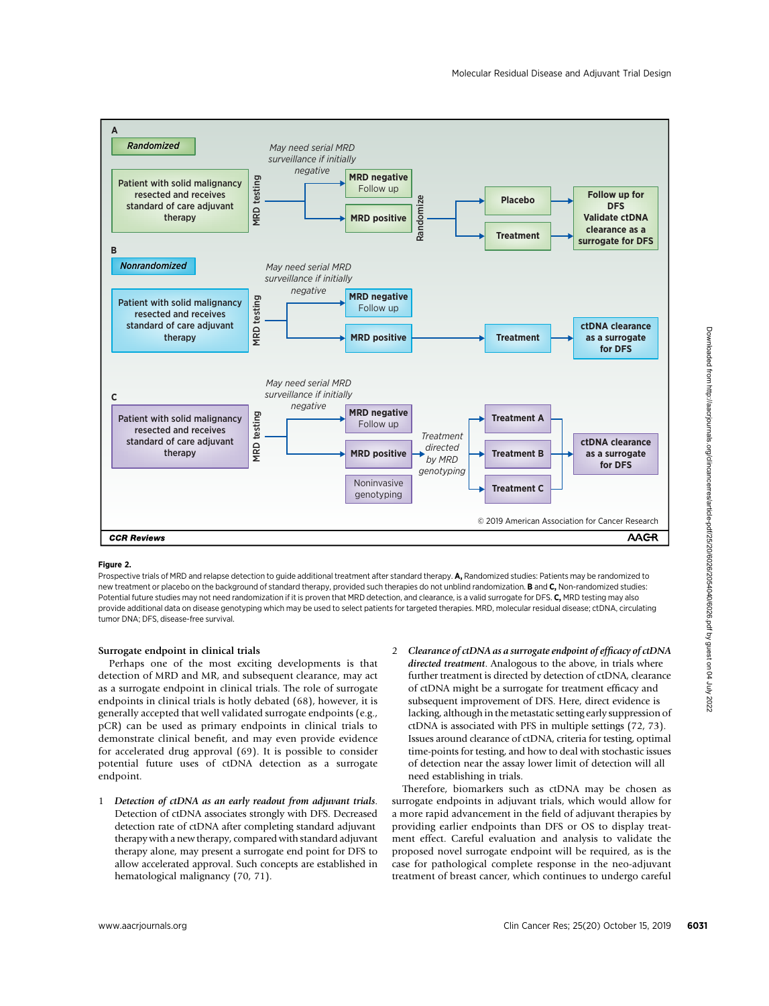

#### Figure 2.

Prospective trials of MRD and relapse detection to guide additional treatment after standard therapy. A, Randomized studies: Patients may be randomized to new treatment or placebo on the background of standard therapy, provided such therapies do not unblind randomization. **B** and C, Non-randomized studies: Potential future studies may not need randomization if it is proven that MRD detection, and clearance, is a valid surrogate for DFS. C, MRD testing may also provide additional data on disease genotyping which may be used to select patients for targeted therapies. MRD, molecular residual disease; ctDNA, circulating tumor DNA; DFS, disease-free survival.

#### Surrogate endpoint in clinical trials

Perhaps one of the most exciting developments is that detection of MRD and MR, and subsequent clearance, may act as a surrogate endpoint in clinical trials. The role of surrogate endpoints in clinical trials is hotly debated (68), however, it is generally accepted that well validated surrogate endpoints (e.g., pCR) can be used as primary endpoints in clinical trials to demonstrate clinical benefit, and may even provide evidence for accelerated drug approval (69). It is possible to consider potential future uses of ctDNA detection as a surrogate endpoint.

- 1 Detection of ctDNA as an early readout from adjuvant trials. Detection of ctDNA associates strongly with DFS. Decreased detection rate of ctDNA after completing standard adjuvant therapy with a new therapy, compared with standard adjuvant therapy alone, may present a surrogate end point for DFS to allow accelerated approval. Such concepts are established in hematological malignancy (70, 71).
- 2 Clearance of ctDNA as a surrogate endpoint of efficacy of ctDNA directed treatment. Analogous to the above, in trials where further treatment is directed by detection of ctDNA, clearance of ctDNA might be a surrogate for treatment efficacy and subsequent improvement of DFS. Here, direct evidence is lacking, although in the metastatic setting early suppression of ctDNA is associated with PFS in multiple settings (72, 73). Issues around clearance of ctDNA, criteria for testing, optimal time-points for testing, and how to deal with stochastic issues of detection near the assay lower limit of detection will all need establishing in trials.

Therefore, biomarkers such as ctDNA may be chosen as surrogate endpoints in adjuvant trials, which would allow for a more rapid advancement in the field of adjuvant therapies by providing earlier endpoints than DFS or OS to display treatment effect. Careful evaluation and analysis to validate the proposed novel surrogate endpoint will be required, as is the case for pathological complete response in the neo-adjuvant treatment of breast cancer, which continues to undergo careful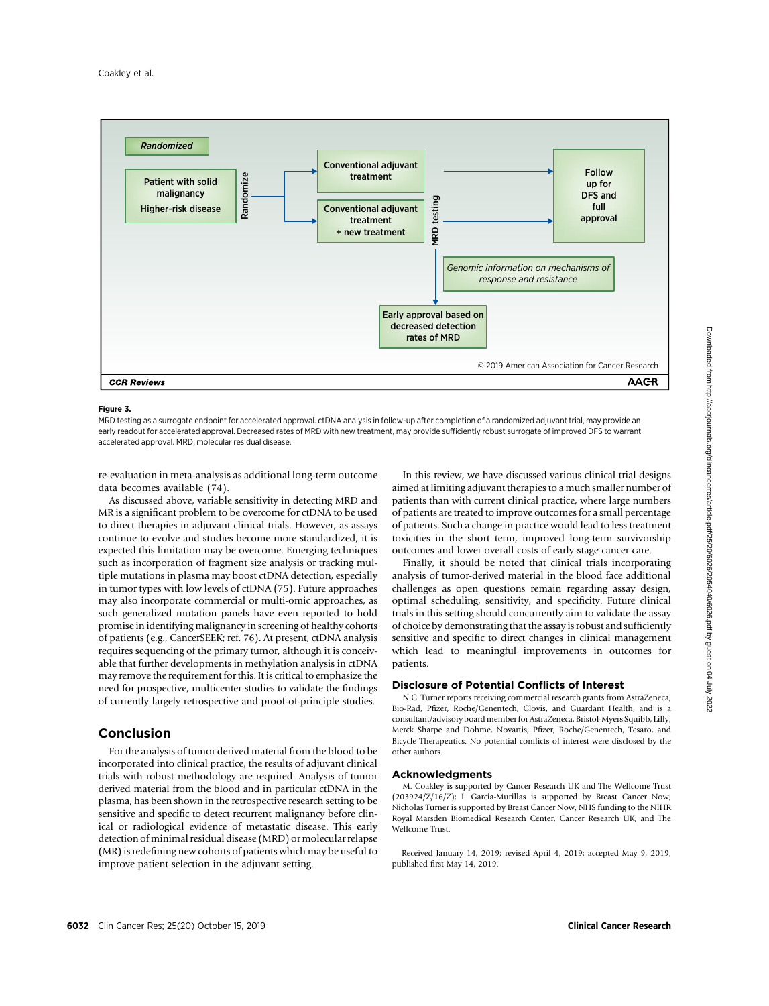

#### Figure 3.

MRD testing as a surrogate endpoint for accelerated approval. ctDNA analysis in follow-up after completion of a randomized adjuvant trial, may provide an early readout for accelerated approval. Decreased rates of MRD with new treatment, may provide sufficiently robust surrogate of improved DFS to warrant accelerated approval. MRD, molecular residual disease.

re-evaluation in meta-analysis as additional long-term outcome data becomes available (74).

As discussed above, variable sensitivity in detecting MRD and MR is a significant problem to be overcome for ctDNA to be used to direct therapies in adjuvant clinical trials. However, as assays continue to evolve and studies become more standardized, it is expected this limitation may be overcome. Emerging techniques such as incorporation of fragment size analysis or tracking multiple mutations in plasma may boost ctDNA detection, especially in tumor types with low levels of ctDNA (75). Future approaches may also incorporate commercial or multi-omic approaches, as such generalized mutation panels have even reported to hold promise in identifying malignancy in screening of healthy cohorts of patients (e.g., CancerSEEK; ref. 76). At present, ctDNA analysis requires sequencing of the primary tumor, although it is conceivable that further developments in methylation analysis in ctDNA may remove the requirement for this. It is critical to emphasize the need for prospective, multicenter studies to validate the findings of currently largely retrospective and proof-of-principle studies.

## Conclusion

For the analysis of tumor derived material from the blood to be incorporated into clinical practice, the results of adjuvant clinical trials with robust methodology are required. Analysis of tumor derived material from the blood and in particular ctDNA in the plasma, has been shown in the retrospective research setting to be sensitive and specific to detect recurrent malignancy before clinical or radiological evidence of metastatic disease. This early detection of minimal residual disease (MRD) or molecular relapse (MR) is redefining new cohorts of patients which may be useful to improve patient selection in the adjuvant setting.

In this review, we have discussed various clinical trial designs aimed at limiting adjuvant therapies to a much smaller number of patients than with current clinical practice, where large numbers of patients are treated to improve outcomes for a small percentage of patients. Such a change in practice would lead to less treatment toxicities in the short term, improved long-term survivorship outcomes and lower overall costs of early-stage cancer care.

Finally, it should be noted that clinical trials incorporating analysis of tumor-derived material in the blood face additional challenges as open questions remain regarding assay design, optimal scheduling, sensitivity, and specificity. Future clinical trials in this setting should concurrently aim to validate the assay of choice by demonstrating that the assay is robust and sufficiently sensitive and specific to direct changes in clinical management which lead to meaningful improvements in outcomes for patients.

#### Disclosure of Potential Conflicts of Interest

N.C. Turner reports receiving commercial research grants from AstraZeneca, Bio-Rad, Pfizer, Roche/Genentech, Clovis, and Guardant Health, and is a consultant/advisory board member for AstraZeneca, Bristol-Myers Squibb, Lilly, Merck Sharpe and Dohme, Novartis, Pfizer, Roche/Genentech, Tesaro, and Bicycle Therapeutics. No potential conflicts of interest were disclosed by the other authors.

## Acknowledgments

M. Coakley is supported by Cancer Research UK and The Wellcome Trust (203924/Z/16/Z); I. Garcia-Murillas is supported by Breast Cancer Now; Nicholas Turner is supported by Breast Cancer Now, NHS funding to the NIHR Royal Marsden Biomedical Research Center, Cancer Research UK, and The Wellcome Trust.

Received January 14, 2019; revised April 4, 2019; accepted May 9, 2019; published first May 14, 2019.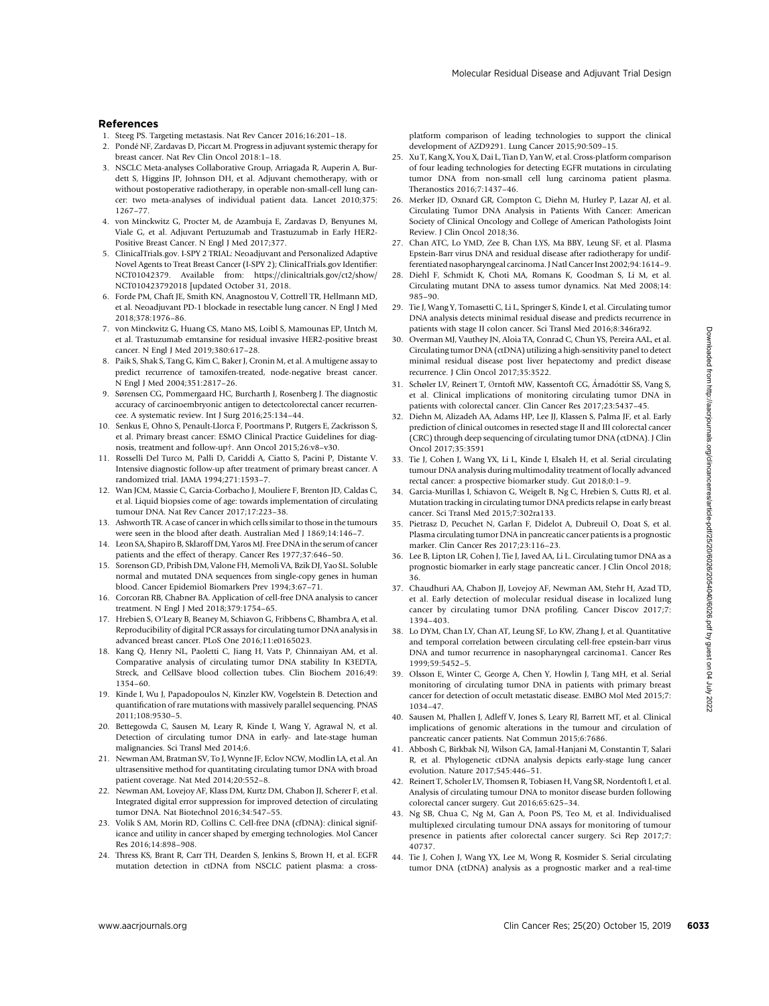#### References

- 1. Steeg PS. Targeting metastasis. Nat Rev Cancer 2016;16:201–18.
- 2. Ponde NF, Zardavas D, Piccart M. Progress in adjuvant systemic therapy for breast cancer. Nat Rev Clin Oncol 2018:1–18.
- 3. NSCLC Meta-analyses Collaborative Group, Arriagada R, Auperin A, Burdett S, Higgins JP, Johnson DH, et al. Adjuvant chemotherapy, with or without postoperative radiotherapy, in operable non-small-cell lung cancer: two meta-analyses of individual patient data. Lancet 2010;375: 1267–77.
- 4. von Minckwitz G, Procter M, de Azambuja E, Zardavas D, Benyunes M, Viale G, et al. Adjuvant Pertuzumab and Trastuzumab in Early HER2- Positive Breast Cancer. N Engl J Med 2017;377.
- 5. ClinicalTrials.gov. I-SPY 2 TRIAL: Neoadjuvant and Personalized Adaptive Novel Agents to Treat Breast Cancer (I-SPY 2); ClinicalTrials.gov Identifier: NCT01042379. Available from: [https://clinicaltrials.gov/ct2/show/](https://clinicaltrials.gov/ct2/show/NCT01042379) [NCT010423792](https://clinicaltrials.gov/ct2/show/NCT01042379)018 [updated October 31, 2018.
- 6. Forde PM, Chaft JE, Smith KN, Anagnostou V, Cottrell TR, Hellmann MD, et al. Neoadjuvant PD-1 blockade in resectable lung cancer. N Engl J Med 2018;378:1976–86.
- 7. von Minckwitz G, Huang CS, Mano MS, Loibl S, Mamounas EP, Untch M, et al. Trastuzumab emtansine for residual invasive HER2-positive breast cancer. N Engl J Med 2019;380:617–28.
- 8. Paik S, Shak S, Tang G, Kim C, Baker J, Cronin M, et al. A multigene assay to predict recurrence of tamoxifen-treated, node-negative breast cancer. N Engl J Med 2004;351:2817–26.
- 9. Sørensen CG, Pommergaard HC, Burcharth J, Rosenberg J. The diagnostic accuracy of carcinoembryonic antigen to detectcolorectal cancer recurrencee. A systematic review. Int J Surg 2016;25:134–44.
- 10. Senkus E, Ohno S, Penault-Llorca F, Poortmans P, Rutgers E, Zackrisson S, et al. Primary breast cancer: ESMO Clinical Practice Guidelines for diagnosis, treatment and follow-up†. Ann Oncol 2015;26:v8–v30.
- 11. Rosselli Del Turco M, Palli D, Cariddi A, Ciatto S, Pacini P, Distante V. Intensive diagnostic follow-up after treatment of primary breast cancer. A randomized trial. JAMA 1994;271:1593–7.
- 12. Wan JCM, Massie C, Garcia-Corbacho J, Mouliere F, Brenton JD, Caldas C, et al. Liquid biopsies come of age: towards implementation of circulating tumour DNA. Nat Rev Cancer 2017;17:223–38.
- 13. Ashworth TR. A case of cancer in which cells similar to those in the tumours were seen in the blood after death. Australian Med J 1869;14:146–7.
- 14. Leon SA, Shapiro B, Sklaroff DM, Yaros MJ. Free DNA in the serum of cancer patients and the effect of therapy. Cancer Res 1977;37:646–50.
- 15. Sorenson GD, Pribish DM, Valone FH, Memoli VA, Bzik DJ, Yao SL. Soluble normal and mutated DNA sequences from single-copy genes in human blood. Cancer Epidemiol Biomarkers Prev 1994;3:67–71.
- 16. Corcoran RB, Chabner BA. Application of cell-free DNA analysis to cancer treatment. N Engl J Med 2018;379:1754–65.
- 17. Hrebien S, O'Leary B, Beaney M, Schiavon G, Fribbens C, Bhambra A, et al. Reproducibility of digital PCR assays for circulating tumor DNA analysis in advanced breast cancer. PLoS One 2016;11:e0165023.
- 18. Kang Q, Henry NL, Paoletti C, Jiang H, Vats P, Chinnaiyan AM, et al. Comparative analysis of circulating tumor DNA stability In K3EDTA, Streck, and CellSave blood collection tubes. Clin Biochem 2016;49: 1354–60.
- 19. Kinde I, Wu J, Papadopoulos N, Kinzler KW, Vogelstein B. Detection and quantification of rare mutations with massively parallel sequencing. PNAS 2011;108:9530–5.
- 20. Bettegowda C, Sausen M, Leary R, Kinde I, Wang Y, Agrawal N, et al. Detection of circulating tumor DNA in early- and late-stage human malignancies. Sci Transl Med 2014;6.
- 21. Newman AM, Bratman SV, To J, Wynne JF, Eclov NCW, Modlin LA, et al. An ultrasensitive method for quantitating circulating tumor DNA with broad patient coverage. Nat Med 2014;20:552–8.
- 22. Newman AM, Lovejoy AF, Klass DM, Kurtz DM, Chabon JJ, Scherer F, et al. Integrated digital error suppression for improved detection of circulating tumor DNA. Nat Biotechnol 2016;34:547–55.
- 23. Volik S AM, Morin RD, Collins C. Cell-free DNA (cfDNA): clinical significance and utility in cancer shaped by emerging technologies. Mol Cancer Res 2016;14:898–908.
- 24. Thress KS, Brant R, Carr TH, Dearden S, Jenkins S, Brown H, et al. EGFR mutation detection in ctDNA from NSCLC patient plasma: a cross-

platform comparison of leading technologies to support the clinical development of AZD9291. Lung Cancer 2015;90:509–15.

- 25. Xu T, Kang X, You X, Dai L, Tian D, Yan W, et al. Cross-platform comparison of four leading technologies for detecting EGFR mutations in circulating tumor DNA from non-small cell lung carcinoma patient plasma. Theranostics 2016;7:1437–46.
- 26. Merker JD, Oxnard GR, Compton C, Diehn M, Hurley P, Lazar AJ, et al. Circulating Tumor DNA Analysis in Patients With Cancer: American Society of Clinical Oncology and College of American Pathologists Joint Review. J Clin Oncol 2018;36.
- 27. Chan ATC, Lo YMD, Zee B, Chan LYS, Ma BBY, Leung SF, et al. Plasma Epstein-Barr virus DNA and residual disease after radiotherapy for undifferentiated nasopharyngeal carcinoma. J Natl Cancer Inst 2002;94:1614–9.
- 28. Diehl F, Schmidt K, Choti MA, Romans K, Goodman S, Li M, et al. Circulating mutant DNA to assess tumor dynamics. Nat Med 2008;14: 985–90.
- 29. Tie J, Wang Y, Tomasetti C, Li L, Springer S, Kinde I, et al. Circulating tumor DNA analysis detects minimal residual disease and predicts recurrence in patients with stage II colon cancer. Sci Transl Med 2016;8:346ra92.
- 30. Overman MJ, Vauthey JN, Aloia TA, Conrad C, Chun YS, Pereira AAL, et al. Circulating tumor DNA (ctDNA) utilizing a high-sensitivity panel to detect minimal residual disease post liver hepatectomy and predict disease recurrence. J Clin Oncol 2017;35:3522. www.article-point of the clinical control of the clinical control of the clinical control of the clinical control of the clinical control of the clinical control of the clinical control of the control of the control of th
	- 31. Schøler LV, Reinert T, Ørntoft MW, Kassentoft CG, Árnadóttir SS, Vang S, et al. Clinical implications of monitoring circulating tumor DNA in patients with colorectal cancer. Clin Cancer Res 2017;23:5437–45.
	- 32. Diehn M, Alizadeh AA, Adams HP, Lee JJ, Klassen S, Palma JF, et al. Early prediction of clinical outcomes in resected stage II and III colorectal cancer (CRC) through deep sequencing of circulating tumor DNA (ctDNA). J Clin Oncol 2017;35:3591
	- 33. Tie J, Cohen J, Wang YX, Li L, Kinde I, Elsaleh H, et al. Serial circulating tumour DNA analysis during multimodality treatment of locally advanced rectal cancer: a prospective biomarker study. Gut 2018;0:1–9.
	- 34. Garcia-Murillas I, Schiavon G, Weigelt B, Ng C, Hrebien S, Cutts RJ, et al. Mutation tracking in circulating tumor DNA predicts relapse in early breast cancer. Sci Transl Med 2015;7:302ra133.
	- 35. Pietrasz D, Pecuchet N, Garlan F, Didelot A, Dubreuil O, Doat S, et al. Plasma circulating tumor DNA in pancreatic cancer patients is a prognostic marker. Clin Cancer Res 2017;23:116–23.
	- 36. Lee B, Lipton LR, Cohen J, Tie J, Javed AA, Li L. Circulating tumor DNA as a prognostic biomarker in early stage pancreatic cancer. J Clin Oncol 2018; 36.
	- 37. Chaudhuri AA, Chabon JJ, Lovejoy AF, Newman AM, Stehr H, Azad TD, et al. Early detection of molecular residual disease in localized lung cancer by circulating tumor DNA profiling. Cancer Discov 2017;7: 1394–403.
	- 38. Lo DYM, Chan LY, Chan AT, Leung SF, Lo KW, Zhang J, et al. Quantitative and temporal correlation between circulating cell-free epstein-barr virus DNA and tumor recurrence in nasopharyngeal carcinoma1. Cancer Res 1999;59:5452–5.
	- 39. Olsson E, Winter C, George A, Chen Y, Howlin J, Tang MH, et al. Serial monitoring of circulating tumor DNA in patients with primary breast cancer for detection of occult metastatic disease. EMBO Mol Med 2015;7: 1034–47.
	- 40. Sausen M, Phallen J, Adleff V, Jones S, Leary RJ, Barrett MT, et al. Clinical implications of genomic alterations in the tumour and circulation of pancreatic cancer patients. Nat Commun 2015;6:7686.
	- 41. Abbosh C, Birkbak NJ, Wilson GA, Jamal-Hanjani M, Constantin T, Salari R, et al. Phylogenetic ctDNA analysis depicts early-stage lung cancer evolution. Nature 2017;545:446–51.
	- 42. Reinert T, Scholer LV, Thomsen R, Tobiasen H, Vang SR, Nordentoft I, et al. Analysis of circulating tumour DNA to monitor disease burden following colorectal cancer surgery. Gut 2016;65:625–34.
	- 43. Ng SB, Chua C, Ng M, Gan A, Poon PS, Teo M, et al. Individualised multiplexed circulating tumour DNA assays for monitoring of tumour presence in patients after colorectal cancer surgery. Sci Rep 2017;7: 40737.
	- 44. Tie J, Cohen J, Wang YX, Lee M, Wong R, Kosmider S. Serial circulating tumor DNA (ctDNA) analysis as a prognostic marker and a real-time